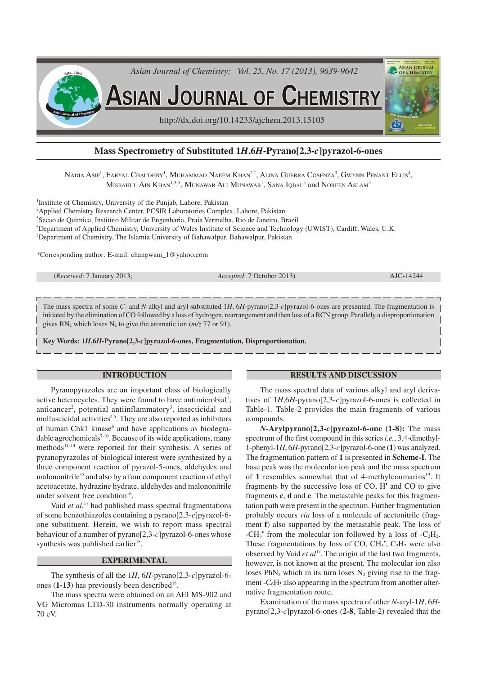

# **Mass Spectrometry of Substituted 1***H***,6***H***-Pyrano[2,3-***c***]pyrazol-6-ones**

 $\rm N$ adia  $\rm Asir^1$ , Faryal Chaudhry $^1$ , Muhammad Naeem Khan $^{2,*}$ , Alina Guerra Cosenza $^3$ , Gwynn Penant Ellis $^4$ ,  $\rm{M}$ isbahul Ain Khan $^{1,3,5},\rm{M}$ unawar Ali Munawar $^{1},\rm{S}$ ana Iqbal $^{5}$  and Noreen Aslam $^{5}$ 

 Institute of Chemistry, University of the Punjab, Lahore, Pakistan <sup>2</sup>Applied Chemistry Research Center, PCSIR Laboratories Complex, Lahore, Pakistan Secao de Quimica, Instituto Militar de Engenharia, Praia Vermelha, Rio de Janeiro, Brazil Department of Applied Chemistry, University of Wales Institute of Science and Technology (UWIST), Cardiff, Wales, U.K. Department of Chemistry, The Islamia University of Bahawalpur, Bahawalpur, Pakistan

\*Corresponding author: E-mail: changwani\_1@yahoo.com

The mass spectra of some *C*- and *N*-alkyl and aryl substituted 1*H*, 6*H*-pyrano[2,3-*c*]pyrazol-6-ones are presented. The fragmentation is initiated by the elimination of CO followed by a loss of hydrogen, rearrangement and then loss of a RCN group. Parallely a disproportionation gives  $RN_2$  which loses  $N_2$  to give the aromatic ion ( $m/z$  77 or 91).

**Key Words: 1***H***,6***H***-Pyrano[2,3-***c***]pyrazol-6-ones, Fragmentation, Disproportionation.**

### **INTRODUCTION**

Pyranopyrazoles are an important class of biologically active heterocycles. They were found to have antimicrobial<sup>1</sup>, anticancer<sup>2</sup>, potential antiinflammatory<sup>3</sup>, insecticidal and molluscicidal activities<sup>4,5</sup>. They are also reported as inhibitors of human Chk1 kinase<sup>6</sup> and have applications as biodegradable agrochemicals $7-10$ . Because of its wide applications, many methods<sup>11-14</sup> were reported for their synthesis. A series of pyranopyrazoles of biological interest were synthesized by a three component reaction of pyrazol-5-ones, aldehydes and malononitrile<sup>15</sup> and also by a four component reaction of ethyl acetoacetate, hydrazine hydrate, aldehydes and malononitrile under solvent free condition<sup>16</sup>.

Vaid *et al.*<sup>17</sup> had published mass spectral fragmentations of some benzothiazoles containing a pyrano[2,3-*c*]pyrazol-6 one substituent. Herein, we wish to report mass spectral behaviour of a number of pyrano[2,3-*c*]pyrazol-6-ones whose synthesis was published earlier<sup>18</sup>.

## **EXPERIMENTAL**

The synthesis of all the 1*H*, 6*H*-pyrano[2,3-*c*]pyrazol-6 ones  $(1-13)$  has previously been described<sup>18</sup>.

The mass spectra were obtained on an AEI MS-902 and VG Micromas LTD-30 instruments normally operating at 70 eV.

#### **RESULTS AND DISCUSSION**

The mass spectral data of various alkyl and aryl derivatives of 1*H*,6*H*-pyrano[2,3-*c*]pyrazol-6-ones is collected in Table-1. Table-2 provides the main fragments of various compounds.

*N***-Arylpyrano[2,3-***c***]pyrazol-6-one (1-8):** The mass spectrum of the first compound in this series *i.e.*, 3,4-dimethyl-1-phenyl-1*H*, 6*H*-pyrano[2,3-*c*]pyrazol-6-one (**1**) was analyzed. The fragmentation pattern of **1** is presented in **Scheme-I**. The base peak was the molecular ion peak and the mass spectrum of 1 resembles somewhat that of 4-methylcoumarins<sup>19</sup>. It fragments by the successive loss of CO, H<sup>\*</sup> and CO to give fragments **c**, **d** and **e**. The metastable peaks for this fragmentation path were present in the spectrum. Further fragmentation probably occurs *via* loss of a molecule of acetonitrile (fragment **f**) also supported by the metastable peak. The loss of -CH<sub>3</sub><sup>\*</sup> from the molecular ion followed by a loss of -C<sub>2</sub>H<sub>2</sub>. These fragmentations by loss of CO,  $CH_3$ <sup>\*</sup>,  $C_2H_2$  were also observed by Vaid et al<sup>17</sup>. The origin of the last two fragments, however, is not known at the present. The molecular ion also loses  $PhN<sub>2</sub>$  which in its turn loses  $N<sub>2</sub>$  giving rise to the fragment  $-C_6H_5$  also appearing in the spectrum from another alternative fragmentation route.

Examination of the mass spectra of other *N*-aryl-1*H*, 6*H*pyrano[2,3-*c*]pyrazol-6-ones (**2-8**, Table-2) revealed that the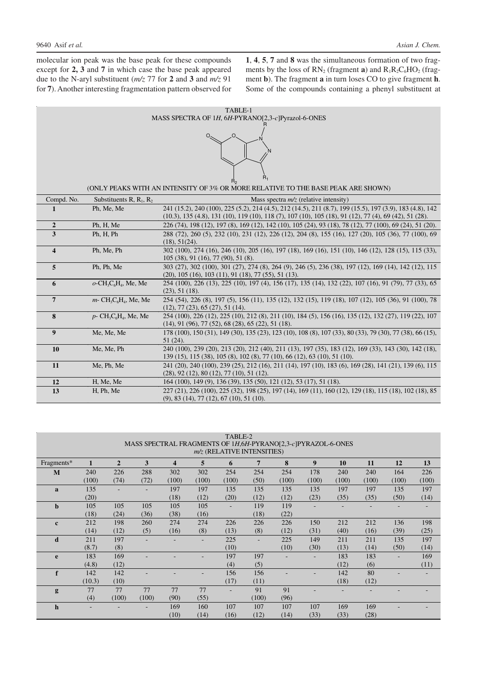molecular ion peak was the base peak for these compounds except for **2, 3** and **7** in which case the base peak appeared due to the N-aryl substituent (*m/z* 77 for **2** and **3** and *m/z* 91 for **7**). Another interesting fragmentation pattern observed for **1**, **4**, **5**, **7** and **8** was the simultaneous formation of two fragments by the loss of  $RN_2$  (fragment **a**) and  $R_1R_2C_6HO_2$  (fragment **b**). The fragment **a** in turn loses CO to give fragment **h**. Some of the compounds containing a phenyl substituent at

| TABLE-1                                                                                            |                                                                                                                                         |                                                                                                                                                                    |  |  |  |  |  |  |  |  |  |
|----------------------------------------------------------------------------------------------------|-----------------------------------------------------------------------------------------------------------------------------------------|--------------------------------------------------------------------------------------------------------------------------------------------------------------------|--|--|--|--|--|--|--|--|--|
| MASS SPECTRA OF 1H, 6H-PYRANO[2,3-c]Pyrazol-6-ONES                                                 |                                                                                                                                         |                                                                                                                                                                    |  |  |  |  |  |  |  |  |  |
|                                                                                                    |                                                                                                                                         |                                                                                                                                                                    |  |  |  |  |  |  |  |  |  |
|                                                                                                    |                                                                                                                                         |                                                                                                                                                                    |  |  |  |  |  |  |  |  |  |
|                                                                                                    |                                                                                                                                         |                                                                                                                                                                    |  |  |  |  |  |  |  |  |  |
|                                                                                                    |                                                                                                                                         |                                                                                                                                                                    |  |  |  |  |  |  |  |  |  |
| $R_1$                                                                                              |                                                                                                                                         |                                                                                                                                                                    |  |  |  |  |  |  |  |  |  |
| R <sub>2</sub><br>(ONLY PEAKS WITH AN INTENSITY OF 3% OR MORE RELATIVE TO THE BASE PEAK ARE SHOWN) |                                                                                                                                         |                                                                                                                                                                    |  |  |  |  |  |  |  |  |  |
| Compd. No.                                                                                         | Substituents R, $R_1$ , $R_2$<br>Mass spectra $m/z$ (relative intensity)                                                                |                                                                                                                                                                    |  |  |  |  |  |  |  |  |  |
| 1                                                                                                  | Ph, Me, Me                                                                                                                              | 241 (15.2), 240 (100), 225 (5.2), 214 (4.5), 212 (14.5), 211 (8.7), 199 (15.5), 197 (3.9), 183 (4.8), 142                                                          |  |  |  |  |  |  |  |  |  |
|                                                                                                    | $(10.3)$ , 135 $(4.8)$ , 131 $(10)$ , 119 $(10)$ , 118 $(7)$ , 107 $(10)$ , 105 $(18)$ , 91 $(12)$ , 77 $(4)$ , 69 $(42)$ , 51 $(28)$ . |                                                                                                                                                                    |  |  |  |  |  |  |  |  |  |
| $\mathbf{2}$                                                                                       | Ph, H, Me                                                                                                                               | 226 (74), 198 (12), 197 (8), 169 (12), 142 (10), 105 (24), 93 (18), 78 (12), 77 (100), 69 (24), 51 (20).                                                           |  |  |  |  |  |  |  |  |  |
| 3                                                                                                  | Ph, H, Ph                                                                                                                               | 288 (72), 260 (5), 232 (10), 231 (12), 226 (12), 204 (8), 155 (16), 127 (20), 105 (36), 77 (100), 69                                                               |  |  |  |  |  |  |  |  |  |
|                                                                                                    |                                                                                                                                         | (18), 51(24).                                                                                                                                                      |  |  |  |  |  |  |  |  |  |
| $\overline{\mathbf{4}}$                                                                            | Ph, Me, Ph                                                                                                                              | 302 (100), 274 (16), 246 (10), 205 (16), 197 (18), 169 (16), 151 (10), 146 (12), 128 (15), 115 (33),<br>105 (38), 91 (16), 77 (90), 51 (8).                        |  |  |  |  |  |  |  |  |  |
| 5                                                                                                  | Ph, Ph, Me                                                                                                                              | 303 (27), 302 (100), 301 (27), 274 (8), 264 (9), 246 (5), 236 (38), 197 (12), 169 (14), 142 (12), 115                                                              |  |  |  |  |  |  |  |  |  |
|                                                                                                    |                                                                                                                                         | $(20)$ , 105 $(16)$ , 103 $(11)$ , 91 $(18)$ , 77 $(55)$ , 51 $(13)$ .                                                                                             |  |  |  |  |  |  |  |  |  |
| 6                                                                                                  | $o$ -CH <sub>3</sub> C <sub>6</sub> H <sub>4</sub> , Me, Me                                                                             | 254 (100), 226 (13), 225 (10), 197 (4), 156 (17), 135 (14), 132 (22), 107 (16), 91 (79), 77 (33), 65                                                               |  |  |  |  |  |  |  |  |  |
|                                                                                                    |                                                                                                                                         | (23), 51(18).                                                                                                                                                      |  |  |  |  |  |  |  |  |  |
| $\overline{7}$                                                                                     | $m$ - CH <sub>3</sub> C <sub>6</sub> H <sub>4</sub> , Me, Me                                                                            | 254 (54), 226 (8), 197 (5), 156 (11), 135 (12), 132 (15), 119 (18), 107 (12), 105 (36), 91 (100), 78                                                               |  |  |  |  |  |  |  |  |  |
| 8                                                                                                  | $p$ - CH <sub>3</sub> C <sub>6</sub> H <sub>4</sub> , Me, Me                                                                            | (12), 77 (23), 65 (27), 51 (14).<br>254 (100), 226 (12), 225 (10), 212 (8), 211 (10), 184 (5), 156 (16), 135 (12), 132 (27), 119 (22), 107                         |  |  |  |  |  |  |  |  |  |
|                                                                                                    |                                                                                                                                         | $(14)$ , 91 (96), 77 (52), 68 (28), 65 (22), 51 (18).                                                                                                              |  |  |  |  |  |  |  |  |  |
| $\boldsymbol{9}$                                                                                   | Me, Me, Me                                                                                                                              | 178 (100), 150 (31), 149 (30), 135 (23), 123 (10), 108 (8), 107 (33), 80 (33), 79 (30), 77 (38), 66 (15),                                                          |  |  |  |  |  |  |  |  |  |
|                                                                                                    |                                                                                                                                         | 51 (24).                                                                                                                                                           |  |  |  |  |  |  |  |  |  |
| <b>10</b>                                                                                          | Me, Me, Ph                                                                                                                              | 240 (100), 239 (20), 213 (20), 212 (40), 211 (13), 197 (35), 183 (12), 169 (33), 143 (30), 142 (18),                                                               |  |  |  |  |  |  |  |  |  |
|                                                                                                    |                                                                                                                                         | 139 (15), 115 (38), 105 (8), 102 (8), 77 (10), 66 (12), 63 (10), 51 (10).                                                                                          |  |  |  |  |  |  |  |  |  |
| 11                                                                                                 | Me, Ph, Me                                                                                                                              | 241 (20), 240 (100), 239 (25), 212 (16), 211 (14), 197 (10), 183 (6), 169 (28), 141 (21), 139 (6), 115<br>$(28)$ , 92 $(12)$ , 80 $(12)$ , 77 $(10)$ , 51 $(12)$ . |  |  |  |  |  |  |  |  |  |
| 12                                                                                                 | H, Me, Me                                                                                                                               | 164 (100), 149 (9), 136 (39), 135 (50), 121 (12), 53 (17), 51 (18).                                                                                                |  |  |  |  |  |  |  |  |  |
| 13                                                                                                 | H, Ph, Me                                                                                                                               | 227 (21), 226 (100), 225 (32), 198 (25), 197 (14), 169 (11), 160 (12), 129 (18), 115 (18), 102 (18), 85                                                            |  |  |  |  |  |  |  |  |  |
|                                                                                                    |                                                                                                                                         | $(9)$ , 83 $(14)$ , 77 $(12)$ , 67 $(10)$ , 51 $(10)$ .                                                                                                            |  |  |  |  |  |  |  |  |  |

| TABLE-2                                                       |        |                |                |                         |       |       |                |       |                  |       |       |       |       |
|---------------------------------------------------------------|--------|----------------|----------------|-------------------------|-------|-------|----------------|-------|------------------|-------|-------|-------|-------|
| MASS SPECTRAL FRAGMENTS OF 1H, 6H-PYRANO[2,3-c]PYRAZOL-6-ONES |        |                |                |                         |       |       |                |       |                  |       |       |       |       |
| $m/z$ (RELATIVE INTENSITIES)                                  |        |                |                |                         |       |       |                |       |                  |       |       |       |       |
| Fragments*                                                    | 1      | $\overline{2}$ | 3              | $\overline{\mathbf{4}}$ | 5     | 6     | 7              | 8     | $\boldsymbol{9}$ | 10    | 11    | 12    | 13    |
| M                                                             | 240    | 226            | 288            | 302                     | 302   | 254   | 254            | 254   | 178              | 240   | 240   | 164   | 226   |
|                                                               | (100)  | (74)           | (72)           | (100)                   | (100) | (100) | (50)           | (100) | (100)            | (100) | (100) | (100) | (100) |
| a                                                             | 135    |                | $\overline{a}$ | 197                     | 197   | 135   | 135            | 135   | 135              | 197   | 197   | 135   | 197   |
|                                                               | (20)   |                |                | (18)                    | (12)  | (20)  | (12)           | (12)  | (23)             | (35)  | (35)  | (50)  | (14)  |
| $\mathbf b$                                                   | 105    | 105            | 105            | 105                     | 105   | Ξ.    | 119            | 119   |                  |       |       |       |       |
|                                                               | (18)   | (24)           | (36)           | (38)                    | (16)  |       | (18)           | (22)  |                  |       |       |       |       |
| $\mathbf{c}$                                                  | 212    | 198            | 260            | 274                     | 274   | 226   | 226            | 226   | 150              | 212   | 212   | 136   | 198   |
|                                                               | (14)   | (12)           | (5)            | (16)                    | (8)   | (13)  | (8)            | (12)  | (31)             | (40)  | (16)  | (39)  | (25)  |
| d                                                             | 211    | 197            |                |                         |       | 225   | $\overline{a}$ | 225   | 149              | 211   | 211   | 135   | 197   |
|                                                               | (8.7)  | (8)            |                |                         |       | (10)  |                | (10)  | (30)             | (13)  | (14)  | (50)  | (14)  |
| e                                                             | 183    | 169            |                |                         |       | 197   | 197            | ۰     | ۳                | 183   | 183   |       | 169   |
|                                                               | (4.8)  | (12)           |                |                         |       | (4)   | (5)            |       |                  | (12)  | (6)   |       | (11)  |
| f                                                             | 142    | 142            |                |                         |       | 156   | 156            |       |                  | 142   | 80    |       |       |
|                                                               | (10.3) | (10)           |                |                         |       | (17)  | (11)           |       |                  | (18)  | (12)  |       |       |
| g                                                             | 77     | 77             | 77             | 77                      | 77    |       | 91             | 91    |                  |       |       |       |       |
|                                                               | (4)    | (100)          | (100)          | (90)                    | (55)  |       | (100)          | (96)  |                  |       |       |       |       |
| $\mathbf h$                                                   |        |                |                | 169                     | 160   | 107   | 107            | 107   | 107              | 169   | 169   |       |       |
|                                                               |        |                |                | (10)                    | (14)  | (16)  | (12)           | (14)  | (33)             | (33)  | (28)  |       |       |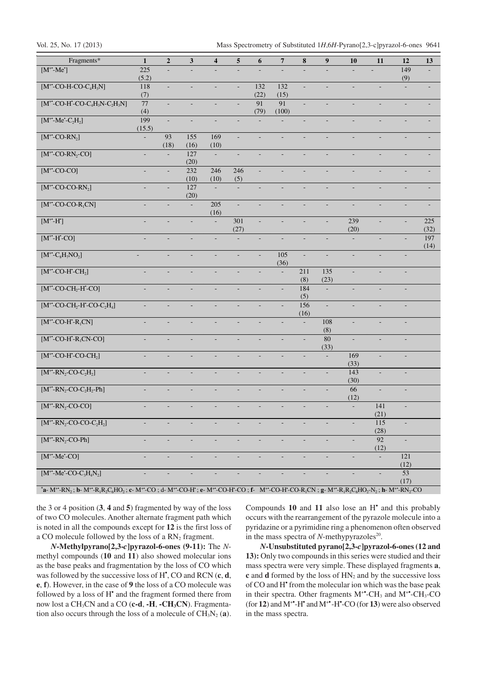| Fragments*                                                                                                                                                                                                                                                                                                                                                                    | $\mathbf{1}$             | $\boldsymbol{2}$ | $\mathbf{3}$             | $\overline{\mathbf{4}}$  | 5              | 6                            | $\overline{\bf 7}$       | ${\bf 8}$                | 9                            | 10                       | 11                       | 12             | 13          |
|-------------------------------------------------------------------------------------------------------------------------------------------------------------------------------------------------------------------------------------------------------------------------------------------------------------------------------------------------------------------------------|--------------------------|------------------|--------------------------|--------------------------|----------------|------------------------------|--------------------------|--------------------------|------------------------------|--------------------------|--------------------------|----------------|-------------|
| $[M^{\dagger}$ -Me']                                                                                                                                                                                                                                                                                                                                                          | 225<br>(5.2)             |                  |                          |                          |                |                              |                          |                          |                              |                          |                          | 149<br>(9)     |             |
| $[M^{**}$ -CO-H-CO-C <sub>4</sub> H <sub>3</sub> N]                                                                                                                                                                                                                                                                                                                           | 118                      |                  |                          | $\overline{\phantom{a}}$ | ÷,             | 132                          | 132                      | $\blacksquare$           | ÷,                           | ÷,                       |                          |                |             |
|                                                                                                                                                                                                                                                                                                                                                                               | (7)                      |                  |                          |                          |                | (22)                         | (15)                     |                          |                              |                          |                          |                |             |
| $[\mathbf{M}^{*\ast}\text{-}\mathbf{CO}\text{-}\mathbf{H}^*\text{-}\mathbf{CO}\text{-}\mathbf{C}_4\mathbf{H}_3\mathbf{N}\text{-}\mathbf{C}_2\mathbf{H}_3\mathbf{N}]$                                                                                                                                                                                                          | $77 \,$<br>(4)           | $\blacksquare$   | $\overline{\phantom{a}}$ | ÷                        |                | 91<br>(79)                   | 91<br>(100)              | $\overline{\phantom{a}}$ |                              | $\overline{\phantom{a}}$ | $\overline{\phantom{a}}$ | ÷              |             |
| $[M^*$ -Me'-C <sub>2</sub> H <sub>2</sub> ]                                                                                                                                                                                                                                                                                                                                   | 199<br>(15.5)            |                  |                          |                          |                |                              |                          |                          |                              |                          |                          |                |             |
| $[M^{\ast}$ -CO-RN <sub>2</sub> ]                                                                                                                                                                                                                                                                                                                                             |                          | 93               | 155                      | 169                      | ÷,             | ÷,                           | $\blacksquare$           | $\overline{\phantom{a}}$ | $\qquad \qquad \blacksquare$ | $\overline{\phantom{a}}$ | $\overline{\phantom{a}}$ | ÷              |             |
|                                                                                                                                                                                                                                                                                                                                                                               |                          | (18)             | (16)                     | (10)                     |                |                              |                          |                          |                              |                          |                          |                |             |
| $[M^{+}.CO-RN_{2}-CO]$                                                                                                                                                                                                                                                                                                                                                        | $\blacksquare$           |                  | 127<br>(20)              |                          |                |                              | ÷,                       |                          |                              | $\overline{\phantom{a}}$ |                          |                |             |
| $[M^{\ast}$ -CO-CO]                                                                                                                                                                                                                                                                                                                                                           | $\blacksquare$           | ÷,               | 232                      | 246<br>(10)              | 246            | ÷,                           | $\blacksquare$           | $\overline{\phantom{a}}$ | ÷,                           | $\overline{\phantom{a}}$ | $\overline{\phantom{a}}$ |                |             |
| $[M^{\ast \ast}$ -CO-CO-RN <sub>2</sub> ]                                                                                                                                                                                                                                                                                                                                     | $\blacksquare$           | ÷,               | (10)<br>127              | $\equiv$                 | (5)            |                              |                          |                          |                              |                          |                          |                |             |
| $[M^{\ast}$ -CO-CO-R <sub>1</sub> CN]                                                                                                                                                                                                                                                                                                                                         | $\overline{\phantom{a}}$ |                  | (20)                     | 205                      | ÷,             | $\overline{\phantom{0}}$     | $\blacksquare$           | ÷,                       | $\blacksquare$               | $\blacksquare$           | $\overline{\phantom{a}}$ | ÷              |             |
|                                                                                                                                                                                                                                                                                                                                                                               |                          |                  |                          | (16)                     |                |                              |                          |                          |                              |                          |                          |                |             |
| $[M^{\ast \ast} \text{-} H^{\ast}]$                                                                                                                                                                                                                                                                                                                                           |                          |                  |                          |                          | 301<br>(27)    |                              |                          |                          |                              | 239<br>(20)              |                          | ÷,             | 225<br>(32) |
| $[M^{\ast}$ -H'-CO]                                                                                                                                                                                                                                                                                                                                                           | $\blacksquare$           | ÷                | $\overline{\phantom{a}}$ | ÷                        | ÷,             | $\qquad \qquad \blacksquare$ | $\blacksquare$           | $\overline{\phantom{a}}$ | $\overline{\phantom{a}}$     | $\overline{\phantom{a}}$ | ÷,                       | ÷              | 197         |
|                                                                                                                                                                                                                                                                                                                                                                               |                          |                  |                          |                          |                |                              |                          |                          |                              |                          |                          |                | (14)        |
| $[M^{\ast}$ -C <sub>8</sub> H <sub>7</sub> NO <sub>2</sub> ]                                                                                                                                                                                                                                                                                                                  | $\equiv$                 | $\overline{a}$   | $\overline{\phantom{a}}$ | $\blacksquare$           | ÷,             | $\frac{1}{2}$                | 105<br>(36)              | $\Box$                   | Ξ                            | ÷.                       | ÷,                       | ÷,             |             |
| $[M^*$ -CO-H'-CH <sub>2</sub> ]                                                                                                                                                                                                                                                                                                                                               | $\blacksquare$           | L.               |                          | ÷,                       | ÷,             |                              | $\overline{\phantom{a}}$ | 211                      | 135                          | $\sim$                   | $\overline{\phantom{a}}$ | $\blacksquare$ |             |
| $[M^*$ -CO-CH <sub>2</sub> -H <sup>-</sup> -CO]                                                                                                                                                                                                                                                                                                                               | $\bar{a}$                | $\overline{a}$   | $\Box$                   | $\overline{a}$           | L.             | $\overline{a}$               | ÷,                       | (8)<br>184               | (23)                         | ÷.                       | $\overline{\phantom{a}}$ |                |             |
| $[M^{+}$ -CO-CH <sub>2</sub> -H <sup>*</sup> -CO-C <sub>2</sub> H <sub>4</sub> ]                                                                                                                                                                                                                                                                                              | $\Box$                   | $\blacksquare$   | $\overline{\phantom{a}}$ | ÷,                       | $\blacksquare$ | ÷,                           | $\overline{\phantom{a}}$ | (5)<br>156               | $\Box$                       | $\overline{\phantom{a}}$ | $\overline{\phantom{a}}$ | $\blacksquare$ |             |
|                                                                                                                                                                                                                                                                                                                                                                               |                          |                  |                          |                          |                |                              |                          | (16)                     |                              |                          |                          |                |             |
| $[M^*$ -CO-H'-R <sub>1</sub> CN]                                                                                                                                                                                                                                                                                                                                              | $\blacksquare$           | $\overline{a}$   | $\overline{\phantom{a}}$ | ÷.                       | L.             | $\overline{a}$               | $\overline{a}$           | $\Box$                   | 108<br>(8)                   | L,                       | $\overline{a}$           | $\blacksquare$ |             |
| $[M^*$ -CO-H'-R <sub>1</sub> CN-CO]                                                                                                                                                                                                                                                                                                                                           | $\blacksquare$           | ÷,               | $\overline{\phantom{a}}$ | ÷,                       | ÷,             | $\blacksquare$               | $\overline{\phantom{a}}$ | $\overline{\phantom{a}}$ | 80                           | $\sim$                   | $\overline{\phantom{a}}$ | $\blacksquare$ |             |
|                                                                                                                                                                                                                                                                                                                                                                               |                          | $\overline{a}$   |                          |                          |                |                              |                          | L.                       | (33)                         | 169                      |                          |                |             |
| $[M^{\dagger}$ -CO-H-CO-CH <sub>2</sub> ]                                                                                                                                                                                                                                                                                                                                     | Ξ                        |                  | $\blacksquare$           | $\overline{a}$           | L.             | L.                           | $\overline{a}$           |                          | $\Box$                       | (33)                     | $\overline{\phantom{a}}$ | $\blacksquare$ |             |
| $[M^{\ast \ast }\text{-RN}_2\text{-CO-}C_2H_2]$                                                                                                                                                                                                                                                                                                                               | $\overline{\phantom{a}}$ | $\blacksquare$   | $\overline{\phantom{a}}$ | $\overline{\phantom{a}}$ | $\blacksquare$ | $\blacksquare$               | $\blacksquare$           | $\overline{\phantom{a}}$ | $\overline{\phantom{a}}$     | 143<br>(30)              | $\overline{\phantom{a}}$ | $\blacksquare$ |             |
| $[M^{\ast \ast}\text{-RN}_2\text{-CO-}C_2H_2\text{-Ph}]$                                                                                                                                                                                                                                                                                                                      |                          |                  |                          |                          |                |                              | L.                       | L.                       | $\overline{a}$               | 66                       | L.                       | ÷,             |             |
|                                                                                                                                                                                                                                                                                                                                                                               |                          |                  |                          |                          |                |                              |                          |                          |                              | (12)                     |                          |                |             |
| $[M^*$ -RN <sub>2</sub> -CO-CO]                                                                                                                                                                                                                                                                                                                                               | $\blacksquare$           | ÷,               |                          |                          |                |                              | $\overline{\phantom{a}}$ | $\overline{\phantom{a}}$ | $\overline{\phantom{a}}$     |                          | 141<br>(21)              | $\blacksquare$ |             |
| $[M^{**}$ -RN <sub>2</sub> -CO-CO-C <sub>2</sub> H <sub>2</sub> ]                                                                                                                                                                                                                                                                                                             | ÷,                       |                  |                          |                          |                |                              |                          |                          |                              |                          | 115<br>(28)              | $\blacksquare$ |             |
| $[M^*$ -RN <sub>2</sub> -CO-Ph]                                                                                                                                                                                                                                                                                                                                               | $\blacksquare$           | $\blacksquare$   | $\overline{\phantom{a}}$ | $\overline{\phantom{a}}$ | ÷,             | $\overline{\phantom{a}}$     | $\blacksquare$           | $\overline{\phantom{a}}$ | $\blacksquare$               | $\overline{\phantom{a}}$ | 92                       | $\blacksquare$ |             |
| $[M^*$ -Me'-CO]                                                                                                                                                                                                                                                                                                                                                               | $\blacksquare$           | ÷,               | $\overline{\phantom{a}}$ | $\overline{\phantom{a}}$ | L,             | ÷,                           | $\overline{a}$           | ÷,                       | $\blacksquare$               | ÷,                       | (12)<br>$\Box$           | 121            |             |
|                                                                                                                                                                                                                                                                                                                                                                               |                          |                  |                          |                          |                |                              |                          |                          |                              |                          |                          | (12)           |             |
| $[M^*$ -Me'-CO-C <sub>3</sub> H <sub>4</sub> N <sub>2</sub> ]                                                                                                                                                                                                                                                                                                                 | $\blacksquare$           | ÷,               |                          |                          | ÷              |                              | $\overline{\phantom{a}}$ | $\overline{\phantom{a}}$ | $\blacksquare$               | $\blacksquare$           | $\overline{\phantom{a}}$ | 53<br>(17)     |             |
| *a- M**-RN <sub>2</sub> ; b- M**-R <sub>1</sub> R <sub>2</sub> C <sub>6</sub> HO <sub>2</sub> ; c- M <sup>++</sup> -CO ; d- M <sup>++</sup> -CO-H'; e- M <sup>++</sup> -CO-H'-CO ; f- M <sup>++</sup> -CO-H'-CO-R <sub>1</sub> CN; g- M <sup>++</sup> -R <sub>1</sub> R <sub>2</sub> C <sub>6</sub> HO <sub>2</sub> -N <sub>2</sub> ; h- M <sup>++</sup> -RN <sub>2</sub> -CO |                          |                  |                          |                          |                |                              |                          |                          |                              |                          |                          |                |             |

the 3 or 4 position (**3**, **4** and **5**) fragmented by way of the loss of two CO molecules. Another alternate fragment path which is noted in all the compounds except for **12** is the first loss of a CO molecule followed by the loss of a RN2 fragment.

*N***-Methylpyrano[2,3-***c***]pyrazol-6-ones (9-11):** The *N*methyl compounds (**10** and **11**) also showed molecular ions as the base peaks and fragmentation by the loss of CO which was followed by the successive loss of H• , CO and RCN (**c**, **d**, **e**, **f**). However, in the case of **9** the loss of a CO molecule was followed by a loss of H<sup>\*</sup> and the fragment formed there from now lost a CH3CN and a CO (**c-d**, **-H**, **-CH3CN**). Fragmentation also occurs through the loss of a molecule of  $CH<sub>3</sub>N<sub>2</sub>$  (a).

Compounds **10** and **11** also lose an H• and this probably occurs with the rearrangement of the pyrazole molecule into a pyridazine or a pyrimidine ring a phenomenon often observed in the mass spectra of  $N$ -methypyrazoles<sup>20</sup>.

*N***-Unsubstituted pyrano[2,3-***c***]pyrazol-6-ones (12 and 13):** Only two compounds in this series were studied and their mass spectra were very simple. These displayed fragments **a**, **c** and **d** formed by the loss of HN<sub>2</sub> and by the successive loss of CO and H• from the molecular ion which was the base peak in their spectra. Other fragments  $M^*$ -CH<sub>3</sub> and  $M^*$ -CH<sub>3</sub>-CO (for  $12$ ) and  $M^*$ -H<sup>\*</sup> and  $M^*$ -H<sup>\*</sup>-CO (for  $13$ ) were also observed in the mass spectra.